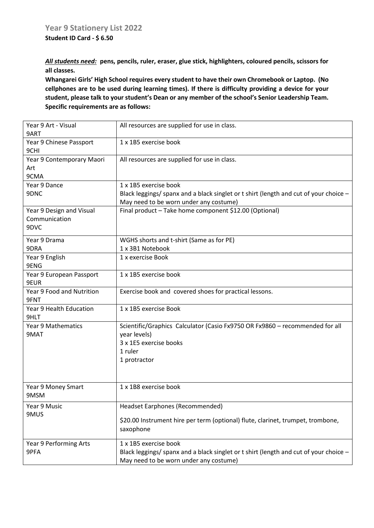**Student ID Card - \$ 6.50**

*All students need:* **pens, pencils, ruler, eraser, glue stick, highlighters, coloured pencils, scissors for all classes.** 

**Whangarei Girls' High School requires every student to have their own Chromebook or Laptop. (No cellphones are to be used during learning times). If there is difficulty providing a device for your student, please talk to your student's Dean or any member of the school's Senior Leadership Team. Specific requirements are as follows:**

| Year 9 Art - Visual<br>9ART | All resources are supplied for use in class.                                          |
|-----------------------------|---------------------------------------------------------------------------------------|
| Year 9 Chinese Passport     | 1 x 1B5 exercise book                                                                 |
| 9CHI                        |                                                                                       |
| Year 9 Contemporary Maori   | All resources are supplied for use in class.                                          |
| Art                         |                                                                                       |
| 9CMA                        |                                                                                       |
| Year 9 Dance                | 1 x 1B5 exercise book                                                                 |
| 9DNC                        | Black leggings/ spanx and a black singlet or t shirt (length and cut of your choice - |
|                             | May need to be worn under any costume)                                                |
| Year 9 Design and Visual    | Final product - Take home component \$12.00 (Optional)                                |
| Communication               |                                                                                       |
| 9DVC                        |                                                                                       |
| Year 9 Drama                | WGHS shorts and t-shirt (Same as for PE)                                              |
| 9DRA                        | 1 x 3B1 Notebook                                                                      |
|                             |                                                                                       |
| Year 9 English<br>9ENG      | 1 x exercise Book                                                                     |
| Year 9 European Passport    | 1 x 1B5 exercise book                                                                 |
| 9EUR                        |                                                                                       |
| Year 9 Food and Nutrition   |                                                                                       |
| 9FNT                        | Exercise book and covered shoes for practical lessons.                                |
| Year 9 Health Education     | 1 x 1B5 exercise Book                                                                 |
| 9HLT                        |                                                                                       |
| <b>Year 9 Mathematics</b>   | Scientific/Graphics Calculator (Casio Fx9750 OR Fx9860 - recommended for all          |
| 9MAT                        | year levels)                                                                          |
|                             | 3 x 1E5 exercise books                                                                |
|                             | 1 ruler                                                                               |
|                             | 1 protractor                                                                          |
|                             |                                                                                       |
|                             |                                                                                       |
| Year 9 Money Smart          | 1 x 1B8 exercise book                                                                 |
| 9MSM                        |                                                                                       |
| Year 9 Music                | Headset Earphones (Recommended)                                                       |
| 9MUS                        |                                                                                       |
|                             | \$20.00 Instrument hire per term (optional) flute, clarinet, trumpet, trombone,       |
|                             | saxophone                                                                             |
| Year 9 Performing Arts      | 1 x 1B5 exercise book                                                                 |
| 9PFA                        | Black leggings/ spanx and a black singlet or t shirt (length and cut of your choice - |
|                             | May need to be worn under any costume)                                                |